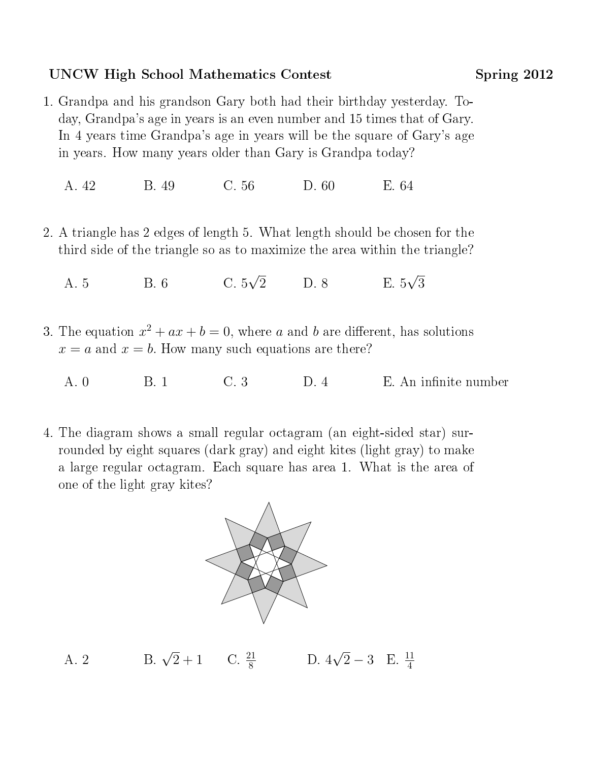## UNCW High School Mathematics Contest Spring 2012

1. Grandpa and his grandson Gary both had their birthday yesterday. Today, Grandpa's age in years is an even number and 15 times that of Gary. In 4 years time Grandpa's age in years will be the square of Gary's age in years. How many years older than Gary is Grandpa today?

A. 42 B. 49 C. 56 D. 60 E. 64

- 2. A triangle has 2 edges of length 5. What length should be chosen for the third side of the triangle so as to maximize the area within the triangle?
	- A. 5 B. 6 C. 5 √ 2 D. 8 E. 5 √ 3
- 3. The equation  $x^2 + ax + b = 0$ , where a and b are different, has solutions  $x = a$  and  $x = b$ . How many such equations are there?
	- A. 0 B. 1 C. 3 D. 4 E. An infinite number
- 4. The diagram shows a small regular octagram (an eight-sided star) surrounded by eight squares (dark gray) and eight kites (light gray) to make a large regular octagram. Each square has area 1. What is the area of one of the light gray kites?



A. 2 B.  $\sqrt{2}+1$  C.  $\frac{21}{8}$  $\frac{21}{8}$  D. 4 √  $\overline{2} - 3$  E.  $\frac{11}{4}$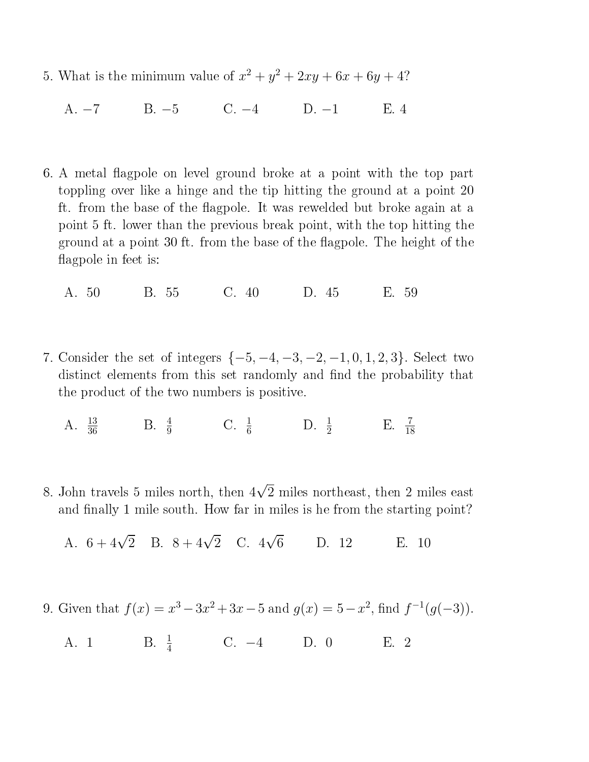- 5. What is the minimum value of  $x^2 + y^2 + 2xy + 6x + 6y + 4$ ?
	- A. −7 B. −5 C. −4 D. −1 E. 4
- 6. A metal flagpole on level ground broke at a point with the top part toppling over like a hinge and the tip hitting the ground at a point 20 ft. from the base of the flagpole. It was rewelded but broke again at a point 5 ft. lower than the previous break point, with the top hitting the ground at a point 30 ft. from the base of the flagpole. The height of the flagpole in feet is:
	- A. 50 B. 55 C. 40 D. 45 E. 59
- 7. Consider the set of integers  $\{-5, -4, -3, -2, -1, 0, 1, 2, 3\}$ . Select two distinct elements from this set randomly and find the probability that the product of the two numbers is positive.
	- A.  $\frac{13}{36}$  B.  $\frac{4}{9}$  C.  $\frac{1}{6}$  D.  $\frac{1}{2}$  E.  $\frac{7}{18}$
- 8. John travels 5 miles north, then 4 √ 2 miles northeast, then 2 miles east and finally 1 mile south. How far in miles is he from the starting point?
	- A.  $6 + 4\sqrt{2}$  B.  $8 + 4\sqrt{2}$  C. 4 √ D. 12 E. 10
- 9. Given that  $f(x) = x^3 3x^2 + 3x 5$  and  $g(x) = 5 x^2$ , find  $f^{-1}(g(-3))$ .
	- A. 1 B.  $\frac{1}{4}$  C. -4 D. 0 E. 2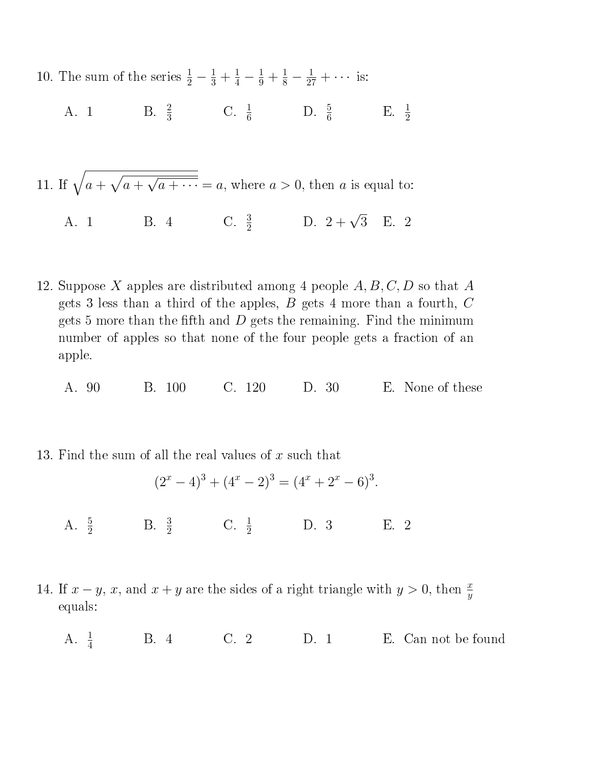10. The sum of the series  $\frac{1}{2} - \frac{1}{3} + \frac{1}{4} - \frac{1}{9} + \frac{1}{8} - \frac{1}{27} + \cdots$  is:

- A. 1 B.  $\frac{2}{3}$  C.  $\frac{1}{6}$  D.  $\frac{5}{6}$  E.  $\frac{1}{2}$
- 11. If  $\sqrt{a + \sqrt{a +}}$  $\overline{\phantom{0}}$  $\overline{a + \cdots} = a$ , where  $a > 0$ , then a is equal to:

A. 1 B. 4 C.  $\frac{3}{2}$  D.  $2 + \sqrt{3}$  E. 2

- 12. Suppose X apples are distributed among 4 people  $A, B, C, D$  so that A gets 3 less than a third of the apples,  $B$  gets 4 more than a fourth,  $C$ gets 5 more than the fifth and  $D$  gets the remaining. Find the minimum number of apples so that none of the four people gets a fraction of an apple.
	- A. 90 B. 100 C. 120 D. 30 E. None of these

13. Find the sum of all the real values of x such that

$$
(2x - 4)3 + (4x - 2)3 = (4x + 2x - 6)3.
$$

- A.  $\frac{5}{2}$  B.  $\frac{3}{2}$  C.  $\frac{1}{2}$  D. 3 E. 2
- 14. If  $x y$ , x, and  $x + y$  are the sides of a right triangle with  $y > 0$ , then  $\frac{x}{y}$ equals:
	- A.  $\frac{1}{4}$ C. 2 D. 1 E. Can not be found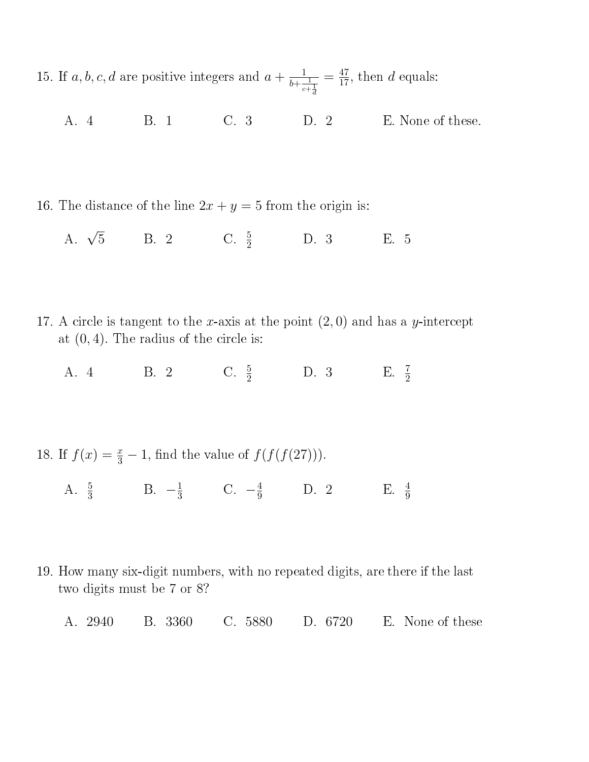15. If  $a, b, c, d$  are positive integers and  $a + \frac{1}{b+1}$  $b + \frac{1}{c + \frac{1}{d}}$  $=\frac{47}{17}$ , then d equals:

A. 4 B. 1 C. 3 D. 2 E. None of these.

16. The distance of the line  $2x + y = 5$  from the origin is:

A.  $\sqrt{5}$  $\overline{5}$  B. 2 C.  $\frac{5}{2}$  D. 3 E. 5

- 17. A circle is tangent to the x-axis at the point  $(2,0)$  and has a y-intercept at  $(0, 4)$ . The radius of the circle is:
	- A. 4 B. 2 C.  $\frac{5}{2}$  D. 3 E.  $\frac{7}{2}$

18. If  $f(x) = \frac{x}{3} - 1$ , find the value of  $f(f(f(27)))$ .

- A.  $\frac{5}{3}$  B.  $-\frac{1}{3}$  $\frac{1}{3}$  C.  $-\frac{4}{9}$  D. 2 E.  $\frac{4}{9}$ E.  $\frac{4}{9}$
- 19. How many six-digit numbers, with no repeated digits, are there if the last two digits must be 7 or 8?
	- A. 2940 B. 3360 C. 5880 D. 6720 E. None of these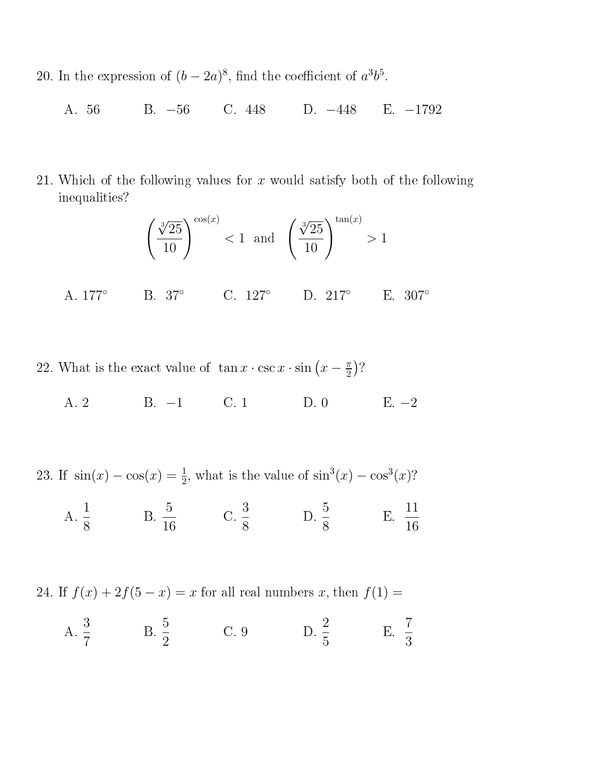- 20. In the expression of  $(b-2a)^8$ , find the coefficient of  $a^3b^5$ .
	- A. 56 B. −56 C. 448 D. −448 E. −1792
- 21. Which of the following values for  $x$  would satisfy both of the following inequalities?

$$
\left(\frac{\sqrt[3]{25}}{10}\right)^{\cos(x)} < 1 \quad \text{and} \quad \left(\frac{\sqrt[3]{25}}{10}\right)^{\tan(x)} > 1
$$

- A. 177◦ B. 37◦ C. 127◦ D. 217◦ E. 307◦
- 22. What is the exact value of  $\tan x \cdot \csc x \cdot \sin(x \frac{\pi}{2})$  $\frac{\pi}{2}$ )?
	- A. 2 B. −1 C. 1 D. 0 E. −2

23. If  $sin(x) - cos(x) = \frac{1}{2}$ , what is the value of  $sin<sup>3</sup>(x) - cos<sup>3</sup>(x)$ ?

 $A. \frac{1}{2}$ 8  $B. \frac{5}{10}$ 16 C.  $\frac{3}{5}$ 8 D.  $\frac{5}{9}$ 8  $E. \frac{11}{16}$ 16

24. If  $f(x) + 2f(5 - x) = x$  for all real numbers x, then  $f(1) =$ 

 $A. \frac{3}{7}$ 7  $B. \frac{5}{2}$ 2 C. 9 D.  $\frac{2}{5}$ 5 E.  $\frac{7}{2}$ 3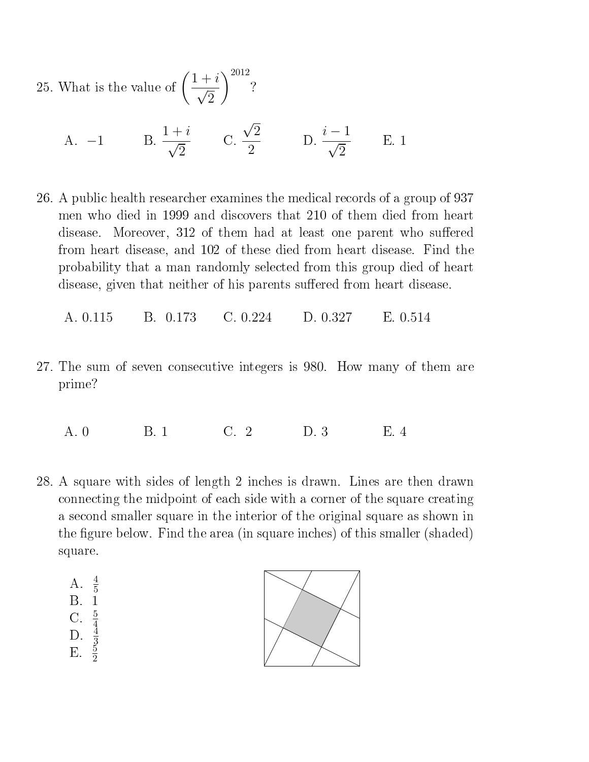25. What is the value of  $\left(\frac{1+i}{\sqrt{2}}\right)$ √ 2  $\setminus$ <sup>2012</sup> ?

A. -1 B. 
$$
\frac{1+i}{\sqrt{2}}
$$
 C.  $\frac{\sqrt{2}}{2}$  D.  $\frac{i-1}{\sqrt{2}}$  E. 1

26. A public health researcher examines the medical records of a group of 937 men who died in 1999 and discovers that 210 of them died from heart disease. Moreover, 312 of them had at least one parent who suffered from heart disease, and 102 of these died from heart disease. Find the probability that a man randomly selected from this group died of heart disease, given that neither of his parents suffered from heart disease.

A. 0.115 B. 0.173 C. 0.224 D. 0.327 E. 0.514

27. The sum of seven consecutive integers is 980. How many of them are prime?

A. 0 B. 1 C. 2 D. 3 E. 4

- 28. A square with sides of length 2 inches is drawn. Lines are then drawn connecting the midpoint of each side with a corner of the square creating a second smaller square in the interior of the original square as shown in the figure below. Find the area (in square inches) of this smaller (shaded) square.
	- A.  $\frac{4}{5}$ B. 1
	-
	-
	-
	- C.  $\frac{5}{4}$ <br>D.  $\frac{4}{3}$ <br>E.  $\frac{5}{2}$